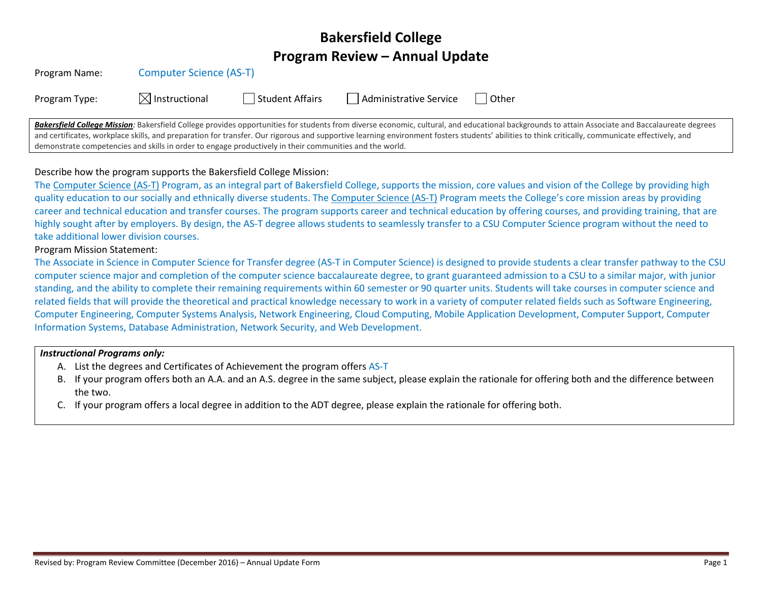# **Bakersfield College Program Review – Annual Update**

| Program Name: | <b>Computer Science (AS-T)</b> |  |
|---------------|--------------------------------|--|
|---------------|--------------------------------|--|

|  | Program Type: | $\boxtimes$ Instructional | Student Affairs | Administrative Service | Other |
|--|---------------|---------------------------|-----------------|------------------------|-------|
|--|---------------|---------------------------|-----------------|------------------------|-------|

Bakersfield College Mission: Bakersfield College provides opportunities for students from diverse economic, cultural, and educational backgrounds to attain Associate and Baccalaureate degrees and certificates, workplace skills, and preparation for transfer. Our rigorous and supportive learning environment fosters students' abilities to think critically, communicate effectively, and demonstrate competencies and skills in order to engage productively in their communities and the world.

## Describe how the program supports the Bakersfield College Mission:

The Computer Science (AS-T) Program, as an integral part of Bakersfield College, supports the mission, core values and vision of the College by providing high quality education to our socially and ethnically diverse students. The Computer Science (AS-T) Program meets the College's core mission areas by providing career and technical education and transfer courses. The program supports career and technical education by offering courses, and providing training, that are highly sought after by employers. By design, the AS-T degree allows students to seamlessly transfer to a CSU Computer Science program without the need to take additional lower division courses.

#### Program Mission Statement:

The Associate in Science in Computer Science for Transfer degree (AS-T in Computer Science) is designed to provide students a clear transfer pathway to the CSU computer science major and completion of the computer science baccalaureate degree, to grant guaranteed admission to a CSU to a similar major, with junior standing, and the ability to complete their remaining requirements within 60 semester or 90 quarter units. Students will take courses in computer science and related fields that will provide the theoretical and practical knowledge necessary to work in a variety of computer related fields such as Software Engineering, Computer Engineering, Computer Systems Analysis, Network Engineering, Cloud Computing, Mobile Application Development, Computer Support, Computer Information Systems, Database Administration, Network Security, and Web Development.

## *Instructional Programs only:*

- A. List the degrees and Certificates of Achievement the program offers AS-T
- B. If your program offers both an A.A. and an A.S. degree in the same subject, please explain the rationale for offering both and the difference between the two.
- C. If your program offers a local degree in addition to the ADT degree, please explain the rationale for offering both.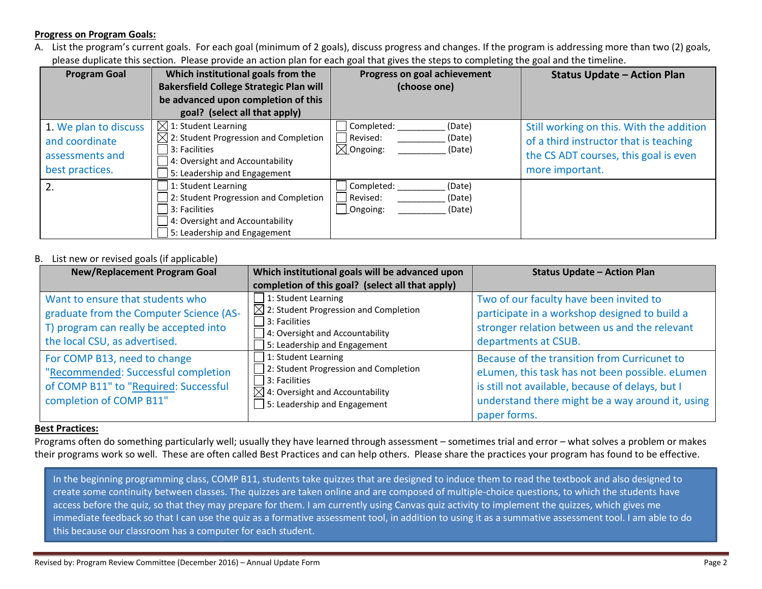## **Progress on Program Goals:**

A. List the program's current goals. For each goal (minimum of 2 goals), discuss progress and changes. If the program is addressing more than two (2) goals, please duplicate this section. Please provide an action plan for each goal that gives the steps to completing the goal and the timeline.

| <b>Program Goal</b>                                                           | Which institutional goals from the<br><b>Bakersfield College Strategic Plan will</b><br>be advanced upon completion of this<br>goal? (select all that apply)             | Progress on goal achievement<br>(choose one)                                 | <b>Status Update - Action Plan</b>                                                                                                             |
|-------------------------------------------------------------------------------|--------------------------------------------------------------------------------------------------------------------------------------------------------------------------|------------------------------------------------------------------------------|------------------------------------------------------------------------------------------------------------------------------------------------|
| 1. We plan to discuss<br>and coordinate<br>assessments and<br>best practices. | $\boxtimes$ 1: Student Learning<br>$\boxtimes$ 2: Student Progression and Completion<br>3: Facilities<br>4: Oversight and Accountability<br>5: Leadership and Engagement | Completed:<br>(Date)<br>Revised:<br>(Date)<br>$\boxtimes$ Ongoing:<br>(Date) | Still working on this. With the addition<br>of a third instructor that is teaching<br>the CS ADT courses, this goal is even<br>more important. |
|                                                                               | 1: Student Learning<br>2: Student Progression and Completion<br>3: Facilities<br>4: Oversight and Accountability<br>5: Leadership and Engagement                         | Completed:<br>(Date)<br>Revised:<br>(Date)<br>$\lfloor$ Ongoing:<br>(Date)   |                                                                                                                                                |

## B. List new or revised goals (if applicable)

| <b>New/Replacement Program Goal</b>                                                                                                                    | Which institutional goals will be advanced upon<br>completion of this goal? (select all that apply)                                                                                                        | <b>Status Update - Action Plan</b>                                                                                                                                                                                      |
|--------------------------------------------------------------------------------------------------------------------------------------------------------|------------------------------------------------------------------------------------------------------------------------------------------------------------------------------------------------------------|-------------------------------------------------------------------------------------------------------------------------------------------------------------------------------------------------------------------------|
| Want to ensure that students who<br>graduate from the Computer Science (AS-<br>T) program can really be accepted into<br>the local CSU, as advertised. | $\Box$ 1: Student Learning<br>$\boxtimes$ 2: Student Progression and Completion<br>$\Box$ 3: Facilities<br>$\Box$ 4: Oversight and Accountability<br>$\overline{\phantom{a}}$ 5: Leadership and Engagement | Two of our faculty have been invited to<br>participate in a workshop designed to build a<br>stronger relation between us and the relevant<br>departments at CSUB.                                                       |
| For COMP B13, need to change<br>"Recommended: Successful completion<br>of COMP B11" to "Required: Successful<br>completion of COMP B11"                | 1: Student Learning<br>2: Student Progression and Completion<br>$\Box$ 3: Facilities<br>$\boxtimes$ 4: Oversight and Accountability<br>$\Box$ 5: Leadership and Engagement                                 | Because of the transition from Curricunet to<br>eLumen, this task has not been possible. eLumen<br>is still not available, because of delays, but I<br>understand there might be a way around it, using<br>paper forms. |

#### **Best Practices:**

Programs often do something particularly well; usually they have learned through assessment – sometimes trial and error – what solves a problem or makes their programs work so well. These are often called Best Practices and can help others. Please share the practices your program has found to be effective.

In the beginning programming class, COMP B11, students take quizzes that are designed to induce them to read the textbook and also designed to create some continuity between classes. The quizzes are taken online and are composed of multiple-choice questions, to which the students have access before the quiz, so that they may prepare for them. I am currently using Canvas quiz activity to implement the quizzes, which gives me immediate feedback so that I can use the quiz as a formative assessment tool, in addition to using it as a summative assessment tool. I am able to do this because our classroom has a computer for each student.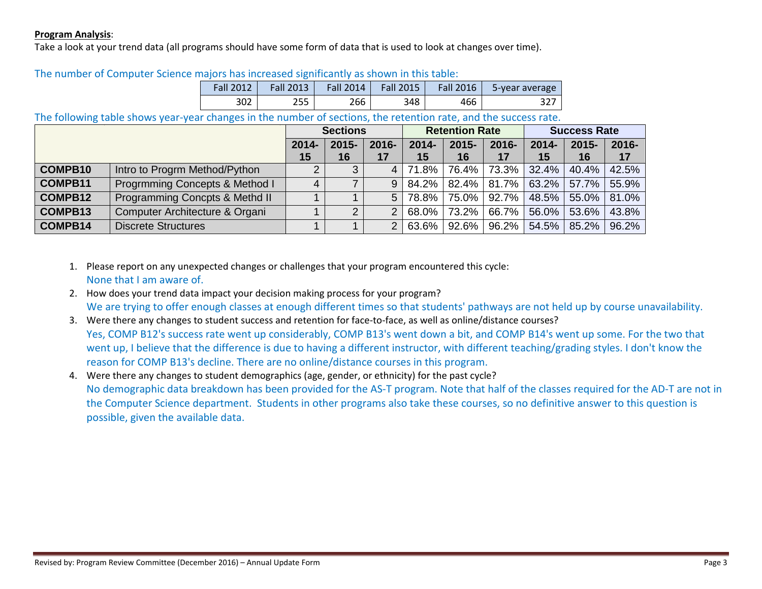# **Program Analysis**:

Take a look at your trend data (all programs should have some form of data that is used to look at changes over time).

| <b>Fall 2012</b> | <b>Fall 2013</b> | Fall 2014 | <b>Fall 2015</b> | Fall 2016 | 5-year average |  |  |
|------------------|------------------|-----------|------------------|-----------|----------------|--|--|
| 302              | 255              | 266       | 348              | 466       | 327            |  |  |

# The number of Computer Science majors has increased significantly as shown in this table:

# The following table shows year-year changes in the number of sections, the retention rate, and the success rate.

|                |                                | <b>Sections</b> |                | <b>Retention Rate</b> |                | <b>Success Rate</b> |             |                |                |                |
|----------------|--------------------------------|-----------------|----------------|-----------------------|----------------|---------------------|-------------|----------------|----------------|----------------|
|                |                                | $2014 -$<br>15  | $2015 -$<br>16 | 2016-<br>17           | $2014 -$<br>15 | $2015 -$<br>16      | 2016-<br>17 | $2014 -$<br>15 | $2015 -$<br>16 | $2016 -$<br>17 |
| <b>COMPB10</b> | Intro to Progrm Method/Python  | 2               | $\mathbf{z}$   | $\overline{4}$        | 71.8%          | 76.4% L             | 73.3%       | $32.4\%$       | 40.4%          | 42.5%          |
| COMPB11        | Progrmming Concepts & Method I | 4               |                | 9                     | 84.2%          |                     | 82.4% 81.7% |                | $63.2\%$ 57.7% | 55.9%          |
| <b>COMPB12</b> | Programming Concpts & Methd II |                 |                | 5                     | 78.8%          | 75.0% L             | $92.7\%$    | 48.5%          | 55.0%          | 81.0%          |
| COMPB13        | Computer Architecture & Organi |                 | ◠              | $\mathcal{P}$         | 68.0%          | 73.2%               | 66.7%       | $56.0\%$       | 53.6%          | 43.8%          |
| <b>COMPB14</b> | <b>Discrete Structures</b>     |                 |                | $\mathcal{P}$         | 63.6%          | $92.6\%$            | $96.2\%$    | 54.5%          | 85.2%          | 96.2%          |

- 1. Please report on any unexpected changes or challenges that your program encountered this cycle: None that I am aware of.
- 2. How does your trend data impact your decision making process for your program? We are trying to offer enough classes at enough different times so that students' pathways are not held up by course unavailability.
- 3. Were there any changes to student success and retention for face-to-face, as well as online/distance courses? Yes, COMP B12's success rate went up considerably, COMP B13's went down a bit, and COMP B14's went up some. For the two that went up, I believe that the difference is due to having a different instructor, with different teaching/grading styles. I don't know the reason for COMP B13's decline. There are no online/distance courses in this program.

4. Were there any changes to student demographics (age, gender, or ethnicity) for the past cycle? No demographic data breakdown has been provided for the AS-T program. Note that half of the classes required for the AD-T are not in the Computer Science department. Students in other programs also take these courses, so no definitive answer to this question is possible, given the available data.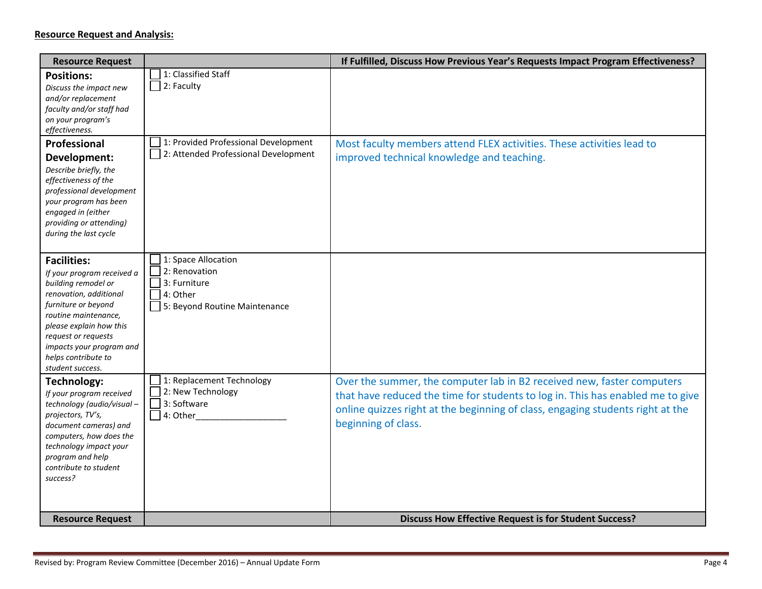| <b>Resource Request</b>                                                                                                                                                                                                                                                   |                                                                                                   | If Fulfilled, Discuss How Previous Year's Requests Impact Program Effectiveness?                                                                                                                                                                                  |
|---------------------------------------------------------------------------------------------------------------------------------------------------------------------------------------------------------------------------------------------------------------------------|---------------------------------------------------------------------------------------------------|-------------------------------------------------------------------------------------------------------------------------------------------------------------------------------------------------------------------------------------------------------------------|
| <b>Positions:</b><br>Discuss the impact new<br>and/or replacement<br>faculty and/or staff had<br>on your program's<br>effectiveness.                                                                                                                                      | 1: Classified Staff<br>2: Faculty                                                                 |                                                                                                                                                                                                                                                                   |
| Professional<br>Development:<br>Describe briefly, the<br>effectiveness of the<br>professional development<br>your program has been<br>engaged in (either<br>providing or attending)<br>during the last cycle                                                              | 1: Provided Professional Development<br>2: Attended Professional Development                      | Most faculty members attend FLEX activities. These activities lead to<br>improved technical knowledge and teaching.                                                                                                                                               |
| <b>Facilities:</b><br>If your program received a<br>building remodel or<br>renovation, additional<br>furniture or beyond<br>routine maintenance,<br>please explain how this<br>request or requests<br>impacts your program and<br>helps contribute to<br>student success. | 1: Space Allocation<br>2: Renovation<br>3: Furniture<br>4: Other<br>5: Beyond Routine Maintenance |                                                                                                                                                                                                                                                                   |
| Technology:<br>If your program received<br>technology (audio/visual-<br>projectors, TV's,<br>document cameras) and<br>computers, how does the<br>technology impact your<br>program and help<br>contribute to student<br>success?                                          | 1: Replacement Technology<br>2: New Technology<br>3: Software<br>$\Box$ 4: Other                  | Over the summer, the computer lab in B2 received new, faster computers<br>that have reduced the time for students to log in. This has enabled me to give<br>online quizzes right at the beginning of class, engaging students right at the<br>beginning of class. |
| <b>Resource Request</b>                                                                                                                                                                                                                                                   |                                                                                                   | <b>Discuss How Effective Request is for Student Success?</b>                                                                                                                                                                                                      |